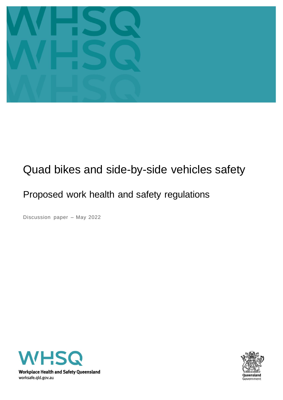

# Quad bikes and side-by-side vehicles safety

# Proposed work health and safety regulations

Discussion paper – May 2022



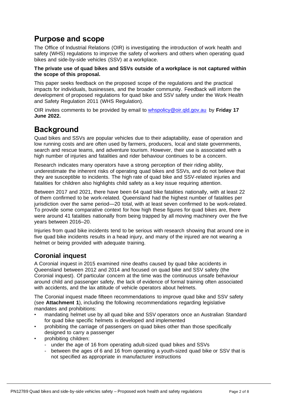# **Purpose and scope**

The Office of Industrial Relations (OIR) is investigating the introduction of work health and safety (WHS) regulations to improve the safety of workers and others when operating quad bikes and side-by-side vehicles (SSV) at a workplace.

#### **The private use of quad bikes and SSVs outside of a workplace is not captured within the scope of this proposal.**

This paper seeks feedback on the proposed scope of the regulations and the practical impacts for individuals, businesses, and the broader community. Feedback will inform the development of proposed regulations for quad bike and SSV safety under the Work Health and Safety Regulation 2011 (WHS Regulation).

OIR invites comments to be provided by email to [whspolicy@oir.qld.gov.au](mailto:whspolicy@oir.qld.gov.au) by **Friday 17 June 2022.**

# **Background**

Quad bikes and SSVs are popular vehicles due to their adaptability, ease of operation and low running costs and are often used by farmers, producers, local and state governments, search and rescue teams, and adventure tourism. However, their use is associated with a high number of injuries and fatalities and rider behaviour continues to be a concern.

Research indicates many operators have a strong perception of their riding ability, underestimate the inherent risks of operating quad bikes and SSVs, and do not believe that they are susceptible to incidents. The high rate of quad bike and SSV-related injuries and fatalities for children also highlights child safety as a key issue requiring attention.

Between 2017 and 2021, there have been 64 quad bike fatalities nationally, with at least 22 of them confirmed to be work-related. Queensland had the highest number of fatalities per jurisdiction over the same period—20 total, with at least seven confirmed to be work-related. To provide some comparative context for how high these figures for quad bikes are, there were around 41 fatalities nationally from being trapped by all moving machinery over the five years between 2016–20.

Injuries from quad bike incidents tend to be serious with research showing that around one in five quad bike incidents results in a head injury, and many of the injured are not wearing a helmet or being provided with adequate training.

## **Coronial inquest**

A Coronial inquest in 2015 examined nine deaths caused by quad bike accidents in Queensland between 2012 and 2014 and focused on quad bike and SSV safety (the Coronial inquest). Of particular concern at the time was the continuous unsafe behaviour around child and passenger safety, the lack of evidence of formal training often associated with accidents, and the lax attitude of vehicle operators about helmets.

The Coronial inquest made fifteen recommendations to improve quad bike and SSV safety (see **Attachment 1**), including the following recommendations regarding legislative mandates and prohibitions:

- mandating helmet use by all quad bike and SSV operators once an Australian Standard for quad bike specific helmets is developed and implemented
- prohibiting the carriage of passengers on quad bikes other than those specifically designed to carry a passenger
- prohibiting children:
	- under the age of 16 from operating adult-sized quad bikes and SSVs
	- between the ages of 6 and 16 from operating a youth-sized quad bike or SSV that is not specified as appropriate in manufacturer instructions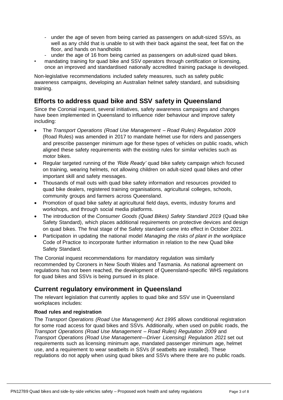- under the age of seven from being carried as passengers on adult-sized SSVs, as well as any child that is unable to sit with their back against the seat, feet flat on the floor, and hands on handholds
- under the age of 16 from being carried as passengers on adult-sized quad bikes.
- mandating training for quad bike and SSV operators through certification or licensing, once an improved and standardised nationally accredited training package is developed.

Non-legislative recommendations included safety measures, such as safety public awareness campaigns, developing an Australian helmet safety standard, and subsidising training.

## **Efforts to address quad bike and SSV safety in Queensland**

Since the Coronial inquest, several initiatives, safety awareness campaigns and changes have been implemented in Queensland to influence rider behaviour and improve safety including:

- The *Transport Operations (Road Use Management – Road Rules) Regulation 2009*  (Road Rules) was amended in 2017 to mandate helmet use for riders and passengers and prescribe passenger minimum age for these types of vehicles on public roads, which aligned these safety requirements with the existing rules for similar vehicles such as motor bikes.
- Regular targeted running of the *'Ride Ready'* quad bike safety campaign which focused on training, wearing helmets, not allowing children on adult-sized quad bikes and other important skill and safety messages.
- Thousands of mail outs with quad bike safety information and resources provided to quad bike dealers, registered training organisations, agricultural colleges, schools, community groups and farmers across Queensland.
- Promotion of quad bike safety at agricultural field days, events, industry forums and workshops, and through social media platforms.
- The introduction of the *Consumer Goods (Quad Bikes) Safety Standard 2019* (Quad bike Safety Standard), which places additional requirements on protective devices and design on quad bikes. The final stage of the Safety standard came into effect in October 2021.
- Participation in updating the national model *Managing the risks of plant in the workplace* Code of Practice to incorporate further information in relation to the new Quad bike Safety Standard.

The Coronial inquest recommendations for mandatory regulation was similarly recommended by Coroners in New South Wales and Tasmania. As national agreement on regulations has not been reached, the development of Queensland-specific WHS regulations for quad bikes and SSVs is being pursued in its place.

## **Current regulatory environment in Queensland**

The relevant legislation that currently applies to quad bike and SSV use in Queensland workplaces includes:

#### **Road rules and registration**

The *Transport Operations (Road Use Management) Act 1995* allows conditional registration for some road access for quad bikes and SSVs. Additionally, when used on public roads, the *Transport Operations (Road Use Management – Road Rules) Regulation 2009* and *Transport Operations (Road Use Management—Driver Licensing) Regulation 2021* set out requirements such as licensing minimum age, mandated passenger minimum age, helmet use, and a requirement to wear seatbelts in SSVs (if seatbelts are installed). These regulations do not apply when using quad bikes and SSVs where there are no public roads.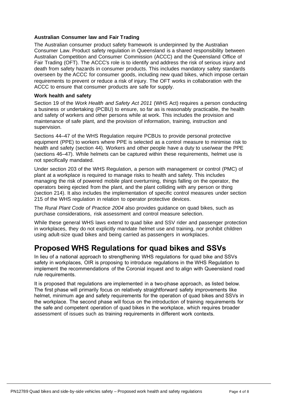#### **Australian Consumer law and Fair Trading**

The Australian consumer product safety framework is underpinned by the Australian Consumer Law. Product safety regulation in Queensland is a shared responsibility between Australian Competition and Consumer Commission (ACCC) and the Queensland Office of Fair Trading (OFT). The ACCC's role is to identify and address the risk of serious injury and death from safety hazards in consumer products. This includes mandatory safety standards overseen by the ACCC for consumer goods, including new quad bikes, which impose certain requirements to prevent or reduce a risk of injury. The OFT works in collaboration with the ACCC to ensure that consumer products are safe for supply.

#### **Work health and safety**

Section 19 of the *Work Health and Safety Act 2011* (WHS Act) requires a person conducting a business or undertaking (PCBU) to ensure, so far as is reasonably practicable, the health and safety of workers and other persons while at work. This includes the provision and maintenance of safe plant, and the provision of information, training, instruction and supervision.

Sections 44–47 of the WHS Regulation require PCBUs to provide personal protective equipment (PPE) to workers where PPE is selected as a control measure to minimise risk to health and safety (section 44). Workers and other people have a duty to use/wear the PPE (sections 46–47). While helmets can be captured within these requirements, helmet use is not specifically mandated.

Under section 203 of the WHS Regulation, a person with management or control (PMC) of plant at a workplace is required to manage risks to health and safety. This includes managing the risk of powered mobile plant overturning, things falling on the operator, the operators being ejected from the plant, and the plant colliding with any person or thing (section 214). It also includes the implementation of specific control measures under section 215 of the WHS regulation in relation to operator protective devices.

The *Rural Plant Code of Practice 2004* also provides guidance on quad bikes, such as purchase considerations, risk assessment and control measure selection.

While these general WHS laws extend to quad bike and SSV rider and passenger protection in workplaces, they do not explicitly mandate helmet use and training, nor prohibit children using adult-size quad bikes and being carried as passengers in workplaces.

# **Proposed WHS Regulations for quad bikes and SSVs**

In lieu of a national approach to strengthening WHS regulations for quad bike and SSVs safety in workplaces, OIR is proposing to introduce regulations in the WHS Regulation to implement the recommendations of the Coronial inquest and to align with Queensland road rule requirements.

It is proposed that regulations are implemented in a two-phase approach, as listed below. The first phase will primarily focus on relatively straightforward safety improvements like helmet, minimum age and safety requirements for the operation of quad bikes and SSVs in the workplace. The second phase will focus on the introduction of training requirements for the safe and competent operation of quad bikes in the workplace, which requires broader assessment of issues such as training requirements in different work contexts.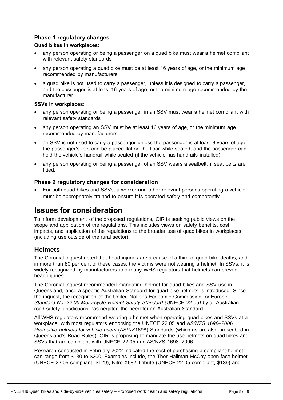### **Phase 1 regulatory changes**

#### **Quad bikes in workplaces:**

- any person operating or being a passenger on a quad bike must wear a helmet compliant with relevant safety standards
- any person operating a quad bike must be at least 16 years of age, or the minimum age recommended by manufacturers
- a quad bike is not used to carry a passenger, unless it is designed to carry a passenger, and the passenger is at least 16 years of age, or the minimum age recommended by the manufacturer.

#### **SSVs in workplaces:**

- any person operating or being a passenger in an SSV must wear a helmet compliant with relevant safety standards
- any person operating an SSV must be at least 16 years of age, or the minimum age recommended by manufacturers
- an SSV is not used to carry a passenger unless the passenger is at least 8 years of age, the passenger's feet can be placed flat on the floor while seated, and the passenger can hold the vehicle's handrail while seated (if the vehicle has handrails installed)
- any person operating or being a passenger of an SSV wears a seatbelt, if seat belts are fitted.

#### **Phase 2 regulatory changes for consideration**

• For both quad bikes and SSVs, a worker and other relevant persons operating a vehicle must be appropriately trained to ensure it is operated safely and competently.

## **Issues for consideration**

To inform development of the proposed regulations, OIR is seeking public views on the scope and application of the regulations. This includes views on safety benefits, cost impacts, and application of the regulations to the broader use of quad bikes in workplaces (including use outside of the rural sector).

### **Helmets**

The Coronial inquest noted that head injuries are a cause of a third of quad bike deaths, and in more than 80 per cent of these cases, the victims were not wearing a helmet. In SSVs, it is widely recognized by manufacturers and many WHS regulators that helmets can prevent head injuries.

The Coronial inquest recommended mandating helmet for quad bikes and SSV use in Queensland, once a specific Australian Standard for quad bike helmets is introduced. Since the inquest, the recognition of the United Nations Economic Commission for Europe *Standard No. 22.05 Motorcycle Helmet Safety Standard (*UNECE 22.05*)* by all Australian road safety jurisdictions has negated the need for an Australian Standard.

All WHS regulators recommend wearing a helmet when operating quad bikes and SSVs at a workplace, with most regulators endorsing the UNECE 22.05 and *AS/NZS 1698–2006 Protective helmets for vehicle users* (AS/NZ1698) Standards (which as are also prescribed in Queensland's Road Rules). OIR is proposing to mandate the use helmets on quad bikes and SSVs that are compliant with UNECE 22.05 and AS/NZS 1698–2006.

Research conducted in February 2022 indicated the cost of purchasing a compliant helmet can range from \$130 to \$200. Examples include, the Thor Hallman McCoy open face helmet (UNECE 22.05 compliant, \$129), Nitro X582 Tribute (UNECE 22.05 compliant, \$139) and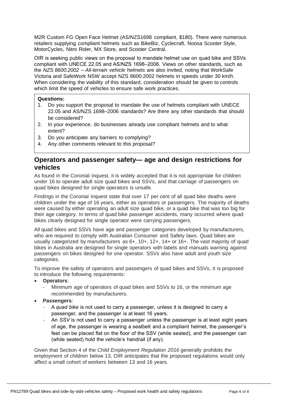M2R Custom FG Open Face Helmet (AS/NZS1698 compliant, \$180). There were numerous retailers supplying compliant helmets such as BikeBiz, Cyclecraft, Noosa Scooter Style, MotorCycles, Nitro Rider, MX Store, and Scooter Central.

OIR is seeking public views on the proposal to mandate helmet use on quad bike and SSVs compliant with UNECE 22.05 and AS/NZS 1698–2006*.* Views on other standards, such as the *NZS 8600:2002 – All-terrain vehicle helmets* are also invited, noting that WorkSafe Victoria and SafeWork NSW accept NZS 8600:2002 helmets in speeds under 30 km/h. When considering the viability of this standard, consideration should be given to controls which limit the speed of vehicles to ensure safe work practices.

#### **Questions:**

- 1. Do you support the proposal to mandate the use of helmets compliant with UNECE 22.05 and AS/NZS 1698–2006 standards? Are there any other standards that should be considered?
- 2. In your experience, do businesses already use compliant helmets and to what extent?
- 3. Do you anticipate any barriers to complying?
- 4. Any other comments relevant to this proposal?

## **Operators and passenger safety— age and design restrictions for vehicles**

As found in the Coronial inquest, it is widely accepted that it is not appropriate for children under 16 to operate adult size quad bikes and SSVs, and that carriage of passengers on quad bikes designed for single operators is unsafe.

Findings in the Coronial inquest state that over 17 per cent of all quad bike deaths were children under the age of 16 years, either as operators or passengers. The majority of deaths were caused by either operating an adult size quad bike, or a quad bike that was too big for their age category. In terms of quad bike passenger accidents, many occurred where quad bikes clearly designed for single operator were carrying passengers.

All quad bikes and SSVs have age and passenger categories developed by manufacturers, who are required to comply with Australian Consumer and Safety laws. Quad bikes are usually categorized by manufacturers as 6+, 10+, 12+, 14+ or 16+. The vast majority of quad bikes in Australia are designed for single operators with labels and manuals warning against passengers on bikes designed for one operator. SSVs also have adult and youth size categories.

To improve the safety of operators and passengers of quad bikes and SSVs, it is proposed to introduce the following requirements:

- **Operators**:
	- Minimum age of operators of quad bikes and SSVs to 16, or the minimum age recommended by manufacturers.
- **Passengers**:
	- A *quad bike* is not used to carry a passenger, unless it is designed to carry a passenger, and the passenger is at least 16 years.
	- An *SSV* is not used to carry a passenger unless the passenger is at least eight years of age, the passenger is wearing a seatbelt and a compliant helmet, the passenger's feet can be placed flat on the floor of the SSV (while seated), and the passenger can (while seated) hold the vehicle's handrail (if any).

Given that Section 4 of the *Child Employment Regulation 2016* generally prohibits the employment of children below 13, OIR anticipates that the proposed regulations would only affect a small cohort of workers between 13 and 16 years.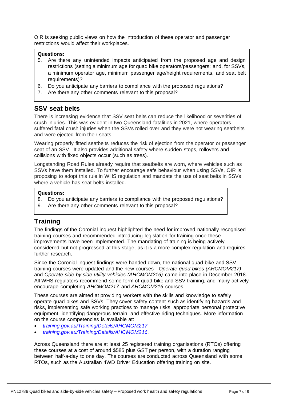OIR is seeking public views on how the introduction of these operator and passenger restrictions would affect their workplaces.

#### **Questions:**

- 5. Are there any unintended impacts anticipated from the proposed age and design restrictions (setting a minimum age for quad bike operators/passengers; and, for SSVs, a minimum operator age, minimum passenger age/height requirements, and seat belt requirements)?
- 6. Do you anticipate any barriers to compliance with the proposed regulations?
- 7. Are there any other comments relevant to this proposal?

#### **SSV seat belts**

There is increasing evidence that SSV seat belts can reduce the likelihood or severities of crush injuries. This was evident in two Queensland fatalities in 2021, where operators suffered fatal crush injuries when the SSVs rolled over and they were not wearing seatbelts and were ejected from their seats.

Wearing properly fitted seatbelts reduces the risk of ejection from the operator or passenger seat of an SSV. It also provides additional safety where sudden stops, rollovers and collisions with fixed objects occur (such as trees).

Longstanding Road Rules already require that seatbelts are worn, where vehicles such as SSVs have them installed. To further encourage safe behaviour when using SSVs, OIR is proposing to adopt this rule in WHS regulation and mandate the use of seat belts in SSVs, where a vehicle has seat belts installed.

#### **Questions:**

- 8. Do you anticipate any barriers to compliance with the proposed regulations?
- 9. Are there any other comments relevant to this proposal?

## **Training**

The findings of the Coronial inquest highlighted the need for improved nationally recognised training courses and recommended introducing legislation for training once these improvements have been implemented. The mandating of training is being actively considered but not progressed at this stage, as it is a more complex regulation and requires further research.

Since the Coronial inquest findings were handed down, the national quad bike and SSV training courses were updated and the new courses - *Operate quad bikes (AHCMOM217)*  and *Operate side by side utility vehicles (AHCMOM216)* came into place in December 2018. All WHS regulators recommend some form of quad bike and SSV training, and many actively encourage completing *AHCMOM217* and *AHCMOM216* courses.

These courses are aimed at providing workers with the skills and knowledge to safely operate quad bikes and SSVs. They cover safety content such as identifying hazards and risks, implementing safe working practices to manage risks, appropriate personal protective equipment, identifying dangerous terrain, and effective riding techniques. More information on the course competencies is available at:

- *[training.gov.au/Training/Details/AHCMOM217](https://training.gov.au/Training/Details/AHCMOM217)*
- *[training.gov.au/Training/Details/AHCMOM216.](https://training.gov.au/Training/Details/AHCMOM216)*

Across Queensland there are at least 25 registered training organisations (RTOs) offering these courses at a cost of around \$585 plus GST per person, with a duration ranging between half-a-day to one day. The courses are conducted across Queensland with some RTOs, such as the Australian 4WD Driver Education offering training on site.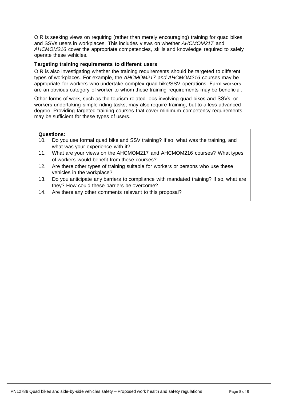OIR is seeking views on requiring (rather than merely encouraging) training for quad bikes and SSVs users in workplaces. This includes views on whether *AHCMOM217* and *AHCMOM216* cover the appropriate competencies, skills and knowledge required to safely operate these vehicles.

#### **Targeting training requirements to different users**

OIR is also investigating whether the training requirements should be targeted to different types of workplaces. For example, the *AHCMOM217 and AHCMOM216* courses may be appropriate for workers who undertake complex quad bike/SSV operations. Farm workers are an obvious category of worker to whom these training requirements may be beneficial.

Other forms of work, such as the tourism-related jobs involving quad bikes and SSVs, or workers undertaking simple riding tasks, may also require training, but to a less advanced degree. Providing targeted training courses that cover minimum competency requirements may be sufficient for these types of users.

#### **Questions:**

- 10. Do you use formal quad bike and SSV training? If so, what was the training, and what was your experience with it?
- 11. What are your views on the AHCMOM217 and AHCMOM216 courses? What types of workers would benefit from these courses?
- 12. Are there other types of training suitable for workers or persons who use these vehicles in the workplace?
- 13. Do you anticipate any barriers to compliance with mandated training? If so, what are they? How could these barriers be overcome?
- 14. Are there any other comments relevant to this proposal?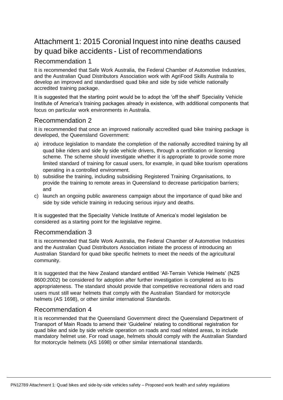# Attachment 1: 2015 Coronial Inquest into nine deaths caused by quad bike accidents - List of recommendations

## Recommendation 1

It is recommended that Safe Work Australia, the Federal Chamber of Automotive Industries, and the Australian Quad Distributors Association work with AgriFood Skills Australia to develop an improved and standardised quad bike and side by side vehicle nationally accredited training package.

It is suggested that the starting point would be to adopt the 'off the shelf' Speciality Vehicle Institute of America's training packages already in existence, with additional components that focus on particular work environments in Australia.

## Recommendation 2

It is recommended that once an improved nationally accredited quad bike training package is developed, the Queensland Government:

- a) introduce legislation to mandate the completion of the nationally accredited training by all quad bike riders and side by side vehicle drivers, through a certification or licensing scheme. The scheme should investigate whether it is appropriate to provide some more limited standard of training for casual users, for example, in quad bike tourism operations operating in a controlled environment.
- b) subsidise the training, including subsidising Registered Training Organisations, to provide the training to remote areas in Queensland to decrease participation barriers; and
- c) launch an ongoing public awareness campaign about the importance of quad bike and side by side vehicle training in reducing serious injury and deaths.

It is suggested that the Speciality Vehicle Institute of America's model legislation be considered as a starting point for the legislative regime.

### Recommendation 3

It is recommended that Safe Work Australia, the Federal Chamber of Automotive Industries and the Australian Quad Distributors Association initiate the process of introducing an Australian Standard for quad bike specific helmets to meet the needs of the agricultural community.

It is suggested that the New Zealand standard entitled 'All-Terrain Vehicle Helmets' (NZS 8600:2002) be considered for adoption after further investigation is completed as to its appropriateness. The standard should provide that competitive recreational riders and road users must still wear helmets that comply with the Australian Standard for motorcycle helmets (AS 1698), or other similar international Standards.

## Recommendation 4

It is recommended that the Queensland Government direct the Queensland Department of Transport of Main Roads to amend their 'Guideline' relating to conditional registration for quad bike and side by side vehicle operation on roads and road related areas, to include mandatory helmet use. For road usage, helmets should comply with the Australian Standard for motorcycle helmets (AS 1698) or other similar international standards.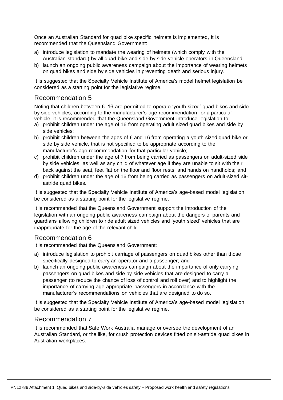Once an Australian Standard for quad bike specific helmets is implemented, it is recommended that the Queensland Government:

- a) introduce legislation to mandate the wearing of helmets (which comply with the Australian standard) by all quad bike and side by side vehicle operators in Queensland;
- b) launch an ongoing public awareness campaign about the importance of wearing helmets on quad bikes and side by side vehicles in preventing death and serious injury.

It is suggested that the Specialty Vehicle Institute of America's model helmet legislation be considered as a starting point for the legislative regime.

### Recommendation 5

Noting that children between 6–16 are permitted to operate 'youth sized' quad bikes and side by side vehicles, according to the manufacturer's age recommendation for a particular vehicle, it is recommended that the Queensland Government introduce legislation to:

- a) prohibit children under the age of 16 from operating adult sized quad bikes and side by side vehicles;
- b) prohibit children between the ages of 6 and 16 from operating a youth sized quad bike or side by side vehicle, that is not specified to be appropriate according to the manufacturer's age recommendation for that particular vehicle;
- c) prohibit children under the age of 7 from being carried as passengers on adult-sized side by side vehicles, as well as any child of whatever age if they are unable to sit with their back against the seat, feet flat on the floor and floor rests, and hands on handholds; and
- d) prohibit children under the age of 16 from being carried as passengers on adult-sized sitastride quad bikes.

It is suggested that the Specialty Vehicle Institute of America's age-based model legislation be considered as a starting point for the legislative regime.

It is recommended that the Queensland Government support the introduction of the legislation with an ongoing public awareness campaign about the dangers of parents and guardians allowing children to ride adult sized vehicles and 'youth sized' vehicles that are inappropriate for the age of the relevant child.

### Recommendation 6

It is recommended that the Queensland Government:

- a) introduce legislation to prohibit carriage of passengers on quad bikes other than those specifically designed to carry an operator and a passenger; and
- b) launch an ongoing public awareness campaign about the importance of only carrying passengers on quad bikes and side by side vehicles that are designed to carry a passenger (to reduce the chance of loss of control and roll over) and to highlight the importance of carrying age-appropriate passengers in accordance with the manufacturer's recommendations on vehicles that are designed to do so.

It is suggested that the Specialty Vehicle Institute of America's age-based model legislation be considered as a starting point for the legislative regime.

#### Recommendation 7

It is recommended that Safe Work Australia manage or oversee the development of an Australian Standard, or the like, for crush protection devices fitted on sit-astride quad bikes in Australian workplaces.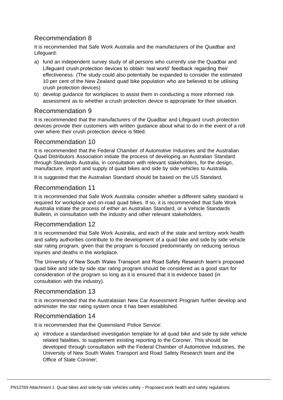## Recommendation 8

It is recommended that Safe Work Australia and the manufacturers of the Quadbar and Lifeguard:

- a) fund an independent survey study of all persons who currently use the Quadbar and Lifeguard crush protection devices to obtain 'real world' feedback regarding their effectiveness. (The study could also potentially be expanded to consider the estimated 10 per cent of the New Zealand quad bike population who are believed to be utilising crush protection devices)
- b) develop guidance for workplaces to assist them in conducting a more informed risk assessment as to whether a crush protection device is appropriate for their situation.

### Recommendation 9

It is recommended that the manufacturers of the Quadbar and Lifeguard crush protection devices provide their customers with written guidance about what to do in the event of a roll over where their crush protection device is fitted.

## Recommendation 10

It is recommended that the Federal Chamber of Automotive Industries and the Australian Quad Distributors Association initiate the process of developing an Australian Standard through Standards Australia, in consultation with relevant stakeholders, for the design, manufacture, import and supply of quad bikes and side by side vehicles to Australia.

It is suggested that the Australian Standard should be based on the US Standard.

### Recommendation 11

It is recommended that Safe Work Australia consider whether a different safety standard is required for workplace and on-road quad bikes. If so, it is recommended that Safe Work Australia initiate the process of either an Australian Standard, or a Vehicle Standards Bulletin, in consultation with the industry and other relevant stakeholders.

### Recommendation 12

It is recommended that Safe Work Australia, and each of the state and territory work health and safety authorities contribute to the development of a quad bike and side by side vehicle star rating program, given that the program is focused predominantly on reducing serious injuries and deaths in the workplace.

The University of New South Wales Transport and Road Safety Research team's proposed quad bike and side by side star rating program should be considered as a good start for consideration of the program so long as it is ensured that it is evidence based (in consultation with the industry).

### Recommendation 13

It is recommended that the Australasian New Car Assessment Program further develop and administer the star rating system once it has been established.

### Recommendation 14

It is recommended that the Queensland Police Service:

a) introduce a standardised investigation template for all quad bike and side by side vehicle related fatalities, to supplement existing reporting to the Coroner. This should be developed through consultation with the Federal Chamber of Automotive Industries, the University of New South Wales Transport and Road Safety Research team and the Office of State Coroner;